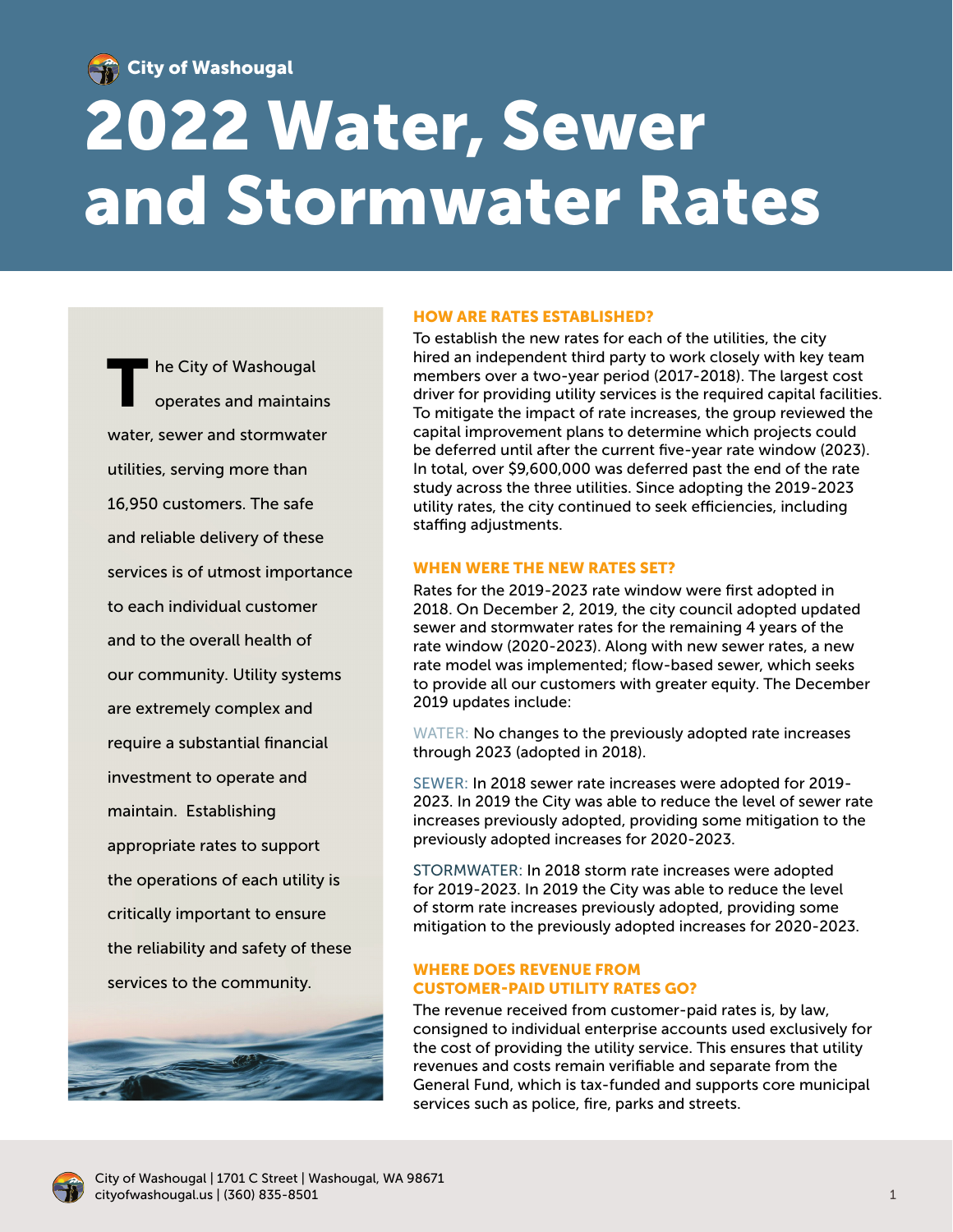

City of Washougal

# 2022 Water, Sewer and Stormwater Rates

he City of Washougal operates and maintains water, sewer and stormwater utilities, serving more than 16,950 customers. The safe and reliable delivery of these services is of utmost importance to each individual customer and to the overall health of our community. Utility systems are extremely complex and require a substantial financial investment to operate and maintain. Establishing appropriate rates to support the operations of each utility is critically important to ensure the reliability and safety of these services to the community.



# HOW ARE RATES ESTABLISHED?

To establish the new rates for each of the utilities, the city hired an independent third party to work closely with key team members over a two-year period (2017-2018). The largest cost driver for providing utility services is the required capital facilities. To mitigate the impact of rate increases, the group reviewed the capital improvement plans to determine which projects could be deferred until after the current five-year rate window (2023). In total, over \$9,600,000 was deferred past the end of the rate study across the three utilities. Since adopting the 2019-2023 utility rates, the city continued to seek efficiencies, including staffing adjustments.

# WHEN WERE THE NEW RATES SET?

Rates for the 2019-2023 rate window were first adopted in 2018. On December 2, 2019, the city council adopted updated sewer and stormwater rates for the remaining 4 years of the rate window (2020-2023). Along with new sewer rates, a new rate model was implemented; flow-based sewer, which seeks to provide all our customers with greater equity. The December 2019 updates include:

WATER: No changes to the previously adopted rate increases through 2023 (adopted in 2018).

SEWER: In 2018 sewer rate increases were adopted for 2019- 2023. In 2019 the City was able to reduce the level of sewer rate increases previously adopted, providing some mitigation to the previously adopted increases for 2020-2023.

STORMWATER: In 2018 storm rate increases were adopted for 2019-2023. In 2019 the City was able to reduce the level of storm rate increases previously adopted, providing some mitigation to the previously adopted increases for 2020-2023.

# WHERE DOES REVENUE FROM CUSTOMER-PAID UTILITY RATES GO?

The revenue received from customer-paid rates is, by law, consigned to individual enterprise accounts used exclusively for the cost of providing the utility service. This ensures that utility revenues and costs remain verifiable and separate from the General Fund, which is tax-funded and supports core municipal services such as police, fire, parks and streets.